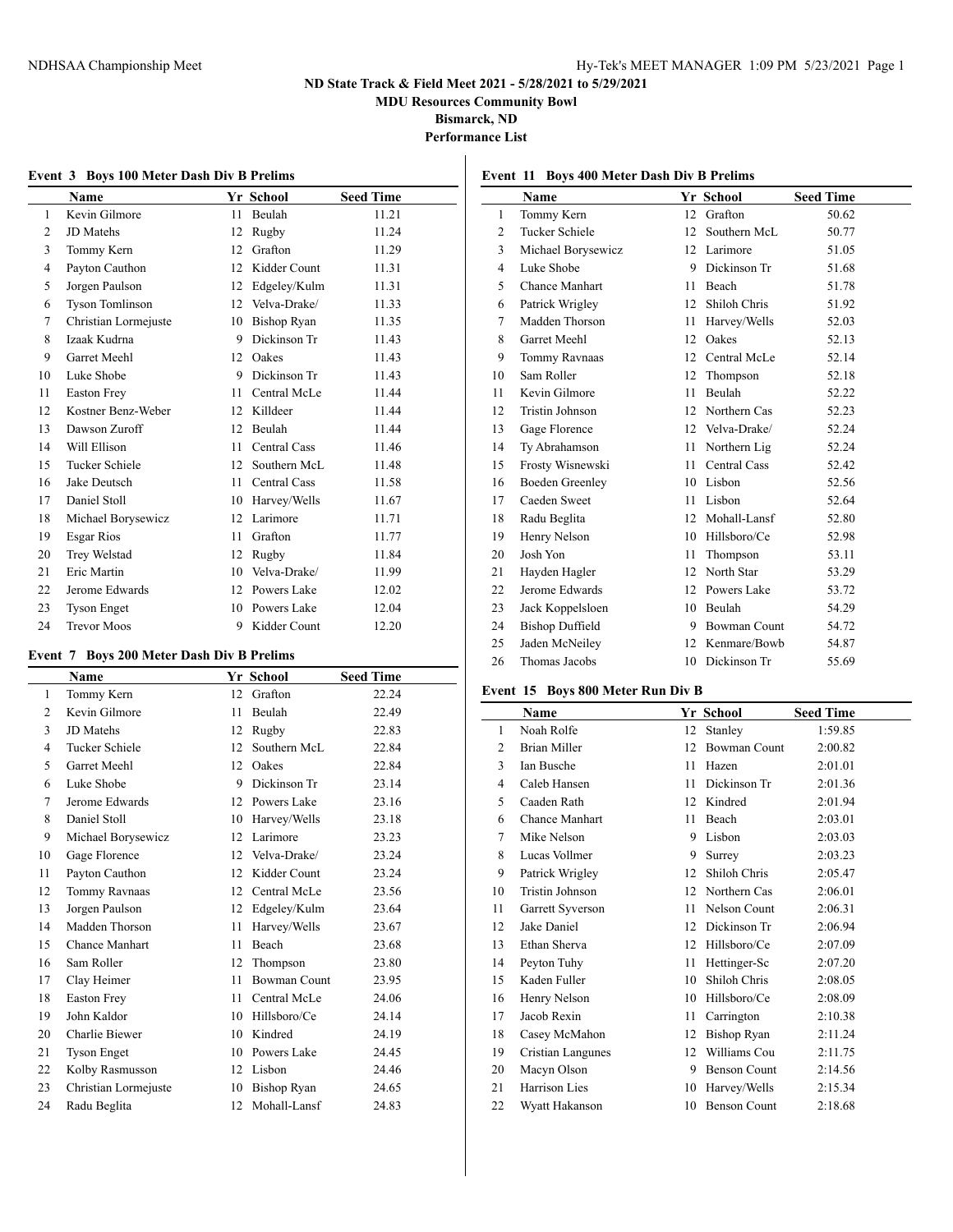**MDU Resources Community Bowl**

**Bismarck, ND**

**Performance List**

| Event 3 Boys 100 Meter Dash Div B Prelims |                        |    |              |                  |
|-------------------------------------------|------------------------|----|--------------|------------------|
|                                           | Name                   |    | Yr School    | <b>Seed Time</b> |
| 1                                         | Kevin Gilmore          | 11 | Beulah       | 11.21            |
| $\overline{2}$                            | JD Matehs              | 12 | Rugby        | 11.24            |
| 3                                         | Tommy Kern             | 12 | Grafton      | 11.29            |
| 4                                         | Payton Cauthon         | 12 | Kidder Count | 11.31            |
| 5                                         | Jorgen Paulson         | 12 | Edgeley/Kulm | 11.31            |
| 6                                         | <b>Tyson Tomlinson</b> | 12 | Velva-Drake/ | 11.33            |
| 7                                         | Christian Lormejuste   | 10 | Bishop Ryan  | 11.35            |
| 8                                         | Izaak Kudrna           | 9  | Dickinson Tr | 11.43            |
| 9                                         | <b>Garret Meehl</b>    |    | 12 Oakes     | 11.43            |
| 10                                        | Luke Shobe             | 9  | Dickinson Tr | 11.43            |
| 11                                        | <b>Easton Frey</b>     | 11 | Central McLe | 11.44            |
| 12                                        | Kostner Benz-Weber     | 12 | Killdeer     | 11.44            |
| 13                                        | Dawson Zuroff          | 12 | Beulah       | 11.44            |
| 14                                        | Will Ellison           | 11 | Central Cass | 11.46            |
| 15                                        | Tucker Schiele         | 12 | Southern McL | 11.48            |
| 16                                        | Jake Deutsch           | 11 | Central Cass | 11.58            |
| 17                                        | Daniel Stoll           | 10 | Harvey/Wells | 11.67            |
| 18                                        | Michael Borysewicz     | 12 | Larimore     | 11.71            |
| 19                                        | Esgar Rios             | 11 | Grafton      | 11.77            |
| 20                                        | Trey Welstad           | 12 | Rugby        | 11.84            |
| 21                                        | Eric Martin            | 10 | Velva-Drake/ | 11.99            |
| 22                                        | Jerome Edwards         | 12 | Powers Lake  | 12.02            |
| 23                                        | <b>Tyson Enget</b>     | 10 | Powers Lake  | 12.04            |
| 24                                        | <b>Trevor Moos</b>     | 9  | Kidder Count | 12.20            |

#### **Event 7 Boys 200 Meter Dash Div B Prelims**

 $\overline{a}$ 

|                | Name                  |    | Yr School           | <b>Seed Time</b> |
|----------------|-----------------------|----|---------------------|------------------|
| 1              | Tommy Kern            | 12 | Grafton             | 22.24            |
| $\overline{c}$ | Kevin Gilmore         | 11 | Beulah              | 22.49            |
| 3              | <b>JD</b> Matehs      | 12 | Rugby               | 22.83            |
| 4              | Tucker Schiele        | 12 | Southern McL        | 22.84            |
| 5              | <b>Garret Meehl</b>   | 12 | Oakes               | 22.84            |
| 6              | Luke Shobe            | 9  | Dickinson Tr        | 23.14            |
| 7              | Jerome Edwards        | 12 | Powers Lake         | 23.16            |
| 8              | Daniel Stoll          | 10 | Harvey/Wells        | 23.18            |
| 9              | Michael Borysewicz    | 12 | Larimore            | 23.23            |
| 10             | Gage Florence         | 12 | Velva-Drake/        | 23.24            |
| 11             | Payton Cauthon        | 12 | Kidder Count        | 23.24            |
| 12             | Tommy Ravnaas         | 12 | Central McLe        | 23.56            |
| 13             | Jorgen Paulson        | 12 | Edgeley/Kulm        | 23.64            |
| 14             | Madden Thorson        | 11 | Harvey/Wells        | 23.67            |
| 15             | <b>Chance Manhart</b> | 11 | <b>Beach</b>        | 23.68            |
| 16             | Sam Roller            | 12 | Thompson            | 23.80            |
| 17             | Clay Heimer           | 11 | <b>Bowman Count</b> | 23.95            |
| 18             | <b>Easton Frey</b>    | 11 | Central McLe        | 24.06            |
| 19             | John Kaldor           | 10 | Hillsboro/Ce        | 24.14            |
| 20             | Charlie Biewer        | 10 | Kindred             | 24.19            |
| 21             | <b>Tyson Enget</b>    | 10 | Powers Lake         | 24.45            |
| 22             | Kolby Rasmusson       | 12 | Lisbon              | 24.46            |
| 23             | Christian Lormejuste  | 10 | Bishop Ryan         | 24.65            |
| 24             | Radu Beglita          |    | 12 Mohall-Lansf     | 24.83            |

|    | Name                   |    | Yr School           | <b>Seed Time</b> |
|----|------------------------|----|---------------------|------------------|
| 1  | Tommy Kern             | 12 | Grafton             | 50.62            |
| 2  | Tucker Schiele         | 12 | Southern McL        | 50.77            |
| 3  | Michael Borysewicz     | 12 | Larimore            | 51.05            |
| 4  | Luke Shobe             | 9  | Dickinson Tr        | 51.68            |
| 5  | Chance Manhart         | 11 | <b>Beach</b>        | 51.78            |
| 6  | Patrick Wrigley        | 12 | Shiloh Chris        | 51.92            |
| 7  | Madden Thorson         | 11 | Harvey/Wells        | 52.03            |
| 8  | Garret Meehl           | 12 | Oakes               | 52.13            |
| 9  | Tommy Ravnaas          | 12 | Central McLe        | 52.14            |
| 10 | Sam Roller             | 12 | Thompson            | 52.18            |
| 11 | Kevin Gilmore          | 11 | Beulah              | 52.22            |
| 12 | Tristin Johnson        | 12 | Northern Cas        | 52.23            |
| 13 | Gage Florence          | 12 | Velva-Drake/        | 52.24            |
| 14 | Ty Abrahamson          | 11 | Northern Lig        | 52.24            |
| 15 | Frosty Wisnewski       | 11 | Central Cass        | 52.42            |
| 16 | <b>Boeden Greenley</b> | 10 | Lisbon              | 52.56            |
| 17 | Caeden Sweet           | 11 | Lisbon              | 52.64            |
| 18 | Radu Beglita           | 12 | Mohall-Lansf        | 52.80            |
| 19 | Henry Nelson           | 10 | Hillsboro/Ce        | 52.98            |
| 20 | Josh Yon               | 11 | Thompson            | 53.11            |
| 21 | Hayden Hagler          | 12 | North Star          | 53.29            |
| 22 | Jerome Edwards         | 12 | Powers Lake         | 53.72            |
| 23 | Jack Koppelsloen       | 10 | Beulah              | 54.29            |
| 24 | <b>Bishop Duffield</b> | 9  | <b>Bowman Count</b> | 54.72            |
| 25 | Jaden McNeiley         | 12 | Kenmare/Bowb        | 54.87            |
| 26 | Thomas Jacobs          | 10 | Dickinson Tr        | 55.69            |
|    |                        |    |                     |                  |

#### **Event 15 Boys 800 Meter Run Div B**

|                | <b>Name</b>           |    | Yr School           | <b>Seed Time</b> |
|----------------|-----------------------|----|---------------------|------------------|
| 1              | Noah Rolfe            | 12 | Stanley             | 1:59.85          |
| $\overline{c}$ | <b>Brian Miller</b>   | 12 | <b>Bowman Count</b> | 2:00.82          |
| 3              | Ian Busche            | 11 | Hazen               | 2:01.01          |
| 4              | Caleb Hansen          | 11 | Dickinson Tr        | 2:01.36          |
| 5              | Caaden Rath           | 12 | Kindred             | 2:01.94          |
| 6              | <b>Chance Manhart</b> | 11 | Beach               | 2:03.01          |
| 7              | Mike Nelson           | 9  | Lisbon              | 2:03.03          |
| 8              | Lucas Vollmer         | 9  | Surrey              | 2:03.23          |
| 9              | Patrick Wrigley       | 12 | Shiloh Chris        | 2:05.47          |
| 10             | Tristin Johnson       | 12 | Northern Cas        | 2:06.01          |
| 11             | Garrett Syverson      | 11 | Nelson Count        | 2:06.31          |
| 12             | Jake Daniel           | 12 | Dickinson Tr        | 2:06.94          |
| 13             | Ethan Sherva          | 12 | Hillsboro/Ce        | 2:07.09          |
| 14             | Peyton Tuhy           | 11 | Hettinger-Sc        | 2:07.20          |
| 15             | Kaden Fuller          | 10 | Shiloh Chris        | 2:08.05          |
| 16             | Henry Nelson          | 10 | Hillsboro/Ce        | 2:08.09          |
| 17             | Jacob Rexin           | 11 | Carrington          | 2:10.38          |
| 18             | Casey McMahon         | 12 | Bishop Ryan         | 2:11.24          |
| 19             | Cristian Langunes     | 12 | Williams Cou        | 2:11.75          |
| 20             | Macyn Olson           | 9  | <b>Benson Count</b> | 2:14.56          |
| 21             | Harrison Lies         | 10 | Harvey/Wells        | 2:15.34          |
| 22             | Wyatt Hakanson        | 10 | <b>Benson Count</b> | 2:18.68          |

## **Event 11 Boys 400 Meter Dash Div B Prelims**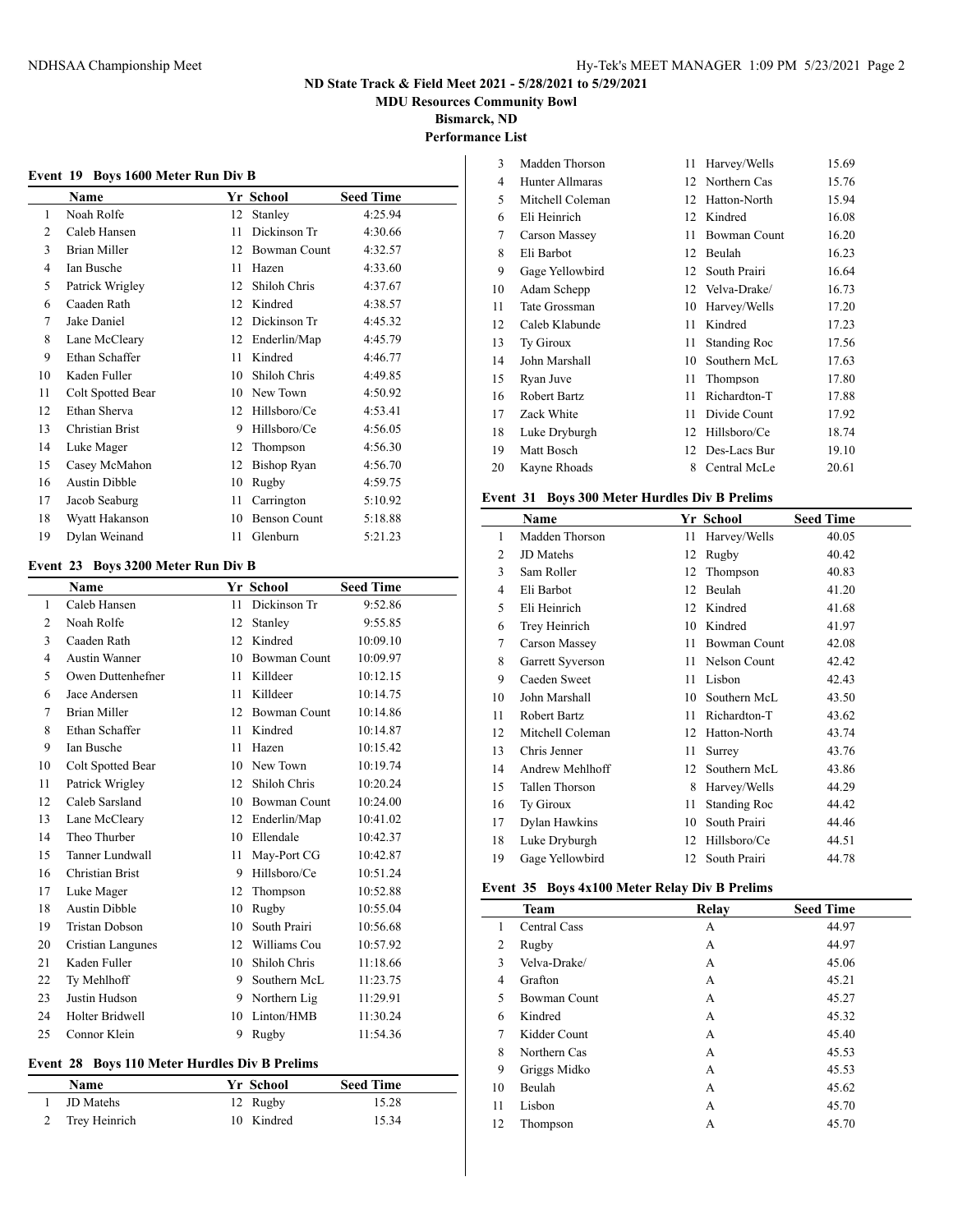**MDU Resources Community Bowl**

**Bismarck, ND**

## **Performance List**

 $\overline{a}$ 

| <b>Boys 1600 Meter Run Div B</b><br>Event 19 |                      |    |                     |                  |
|----------------------------------------------|----------------------|----|---------------------|------------------|
|                                              | Name                 |    | Yr School           | <b>Seed Time</b> |
| 1                                            | Noah Rolfe           | 12 | Stanley             | 4:25.94          |
| 2                                            | Caleb Hansen         | 11 | Dickinson Tr        | 4:30.66          |
| 3                                            | <b>Brian Miller</b>  | 12 | <b>Bowman Count</b> | 4:32.57          |
| 4                                            | <b>Ian Busche</b>    | 11 | Hazen               | 4:33.60          |
| 5                                            | Patrick Wrigley      | 12 | Shiloh Chris        | 4:37.67          |
| 6                                            | Caaden Rath          | 12 | Kindred             | 4:38.57          |
| 7                                            | Jake Daniel          | 12 | Dickinson Tr        | 4:45.32          |
| 8                                            | Lane McCleary        | 12 | Enderlin/Map        | 4:45.79          |
| 9                                            | Ethan Schaffer       | 11 | Kindred             | 4:46.77          |
| 10                                           | Kaden Fuller         | 10 | Shiloh Chris        | 4:49.85          |
| 11                                           | Colt Spotted Bear    | 10 | New Town            | 4:50.92          |
| 12                                           | Ethan Sherva         | 12 | Hillsboro/Ce        | 4:53.41          |
| 13                                           | Christian Brist      | 9  | Hillsboro/Ce        | 4:56.05          |
| 14                                           | Luke Mager           | 12 | Thompson            | 4:56.30          |
| 15                                           | Casey McMahon        | 12 | <b>Bishop Ryan</b>  | 4:56.70          |
| 16                                           | <b>Austin Dibble</b> | 10 | Rugby               | 4:59.75          |
| 17                                           | Jacob Seaburg        | 11 | Carrington          | 5:10.92          |
| 18                                           | Wyatt Hakanson       | 10 | <b>Benson Count</b> | 5:18.88          |
| 19                                           | Dylan Weinand        | 11 | Glenburn            | 5:21.23          |

#### **Event 23 Boys 3200 Meter Run Div B**

|                | Name                  |    | Yr School           | <b>Seed Time</b> |
|----------------|-----------------------|----|---------------------|------------------|
| 1              | Caleb Hansen          | 11 | Dickinson Tr        | 9:52.86          |
| $\overline{2}$ | Noah Rolfe            | 12 | Stanley             | 9:55.85          |
| 3              | Caaden Rath           | 12 | Kindred             | 10:09.10         |
| $\overline{4}$ | <b>Austin Wanner</b>  | 10 | <b>Bowman Count</b> | 10:09.97         |
| 5              | Owen Duttenhefner     | 11 | Killdeer            | 10:12.15         |
| 6              | Jace Andersen         | 11 | Killdeer            | 10:14.75         |
| 7              | <b>Brian Miller</b>   | 12 | <b>Bowman Count</b> | 10:14.86         |
| 8              | Ethan Schaffer        | 11 | Kindred             | 10:14.87         |
| 9              | Ian Busche            | 11 | Hazen               | 10:15.42         |
| 10             | Colt Spotted Bear     | 10 | New Town            | 10:19.74         |
| 11             | Patrick Wrigley       | 12 | Shiloh Chris        | 10:20.24         |
| 12             | Caleb Sarsland        | 10 | <b>Bowman Count</b> | 10:24.00         |
| 13             | Lane McCleary         | 12 | Enderlin/Map        | 10:41.02         |
| 14             | Theo Thurber          | 10 | Ellendale           | 10:42.37         |
| 15             | Tanner Lundwall       | 11 | May-Port CG         | 10:42.87         |
| 16             | Christian Brist       | 9  | Hillsboro/Ce        | 10:51.24         |
| 17             | Luke Mager            | 12 | Thompson            | 10:52.88         |
| 18             | Austin Dibble         | 10 | Rugby               | 10:55.04         |
| 19             | <b>Tristan Dobson</b> | 10 | South Prairi        | 10:56.68         |
| 20             | Cristian Langunes     | 12 | Williams Cou        | 10:57.92         |
| 21             | Kaden Fuller          | 10 | Shiloh Chris        | 11:18.66         |
| 22             | Ty Mehlhoff           | 9  | Southern McL        | 11:23.75         |
| 23             | Justin Hudson         | 9  | Northern Lig        | 11:29.91         |
| 24             | Holter Bridwell       | 10 | Linton/HMB          | 11:30.24         |
| 25             | Connor Klein          | 9  | Rugby               | 11:54.36         |

## **Event 28 Boys 110 Meter Hurdles Div B Prelims**

| <b>Name</b>     | <b>Yr School</b> | <b>Seed Time</b> |
|-----------------|------------------|------------------|
| JD Matehs       | 12 Rugby         | 15.28            |
| 2 Trey Heinrich | 10 Kindred       | 15.34            |

| 3  | Madden Thorson   | 11 | Harvey/Wells        | 15.69 |
|----|------------------|----|---------------------|-------|
| 4  | Hunter Allmaras  | 12 | Northern Cas        | 15.76 |
| 5  | Mitchell Coleman | 12 | Hatton-North        | 15.94 |
| 6  | Eli Heinrich     | 12 | Kindred             | 16.08 |
| 7  | Carson Massey    | 11 | <b>Bowman Count</b> | 16.20 |
| 8  | Eli Barbot       | 12 | Beulah              | 16.23 |
| 9  | Gage Yellowbird  | 12 | South Prairi        | 16.64 |
| 10 | Adam Schepp      |    | 12 Velva-Drake/     | 16.73 |
| 11 | Tate Grossman    | 10 | Harvey/Wells        | 17.20 |
| 12 | Caleb Klabunde   | 11 | Kindred             | 17.23 |
| 13 | Ty Giroux        | 11 | Standing Roc        | 17.56 |
| 14 | John Marshall    | 10 | Southern McL        | 17.63 |
| 15 | Ryan Juve        | 11 | Thompson            | 17.80 |
| 16 | Robert Bartz     | 11 | Richardton-T        | 17.88 |
| 17 | Zack White       | 11 | Divide Count        | 17.92 |
| 18 | Luke Dryburgh    | 12 | Hillsboro/Ce        | 18.74 |
| 19 | Matt Bosch       |    | 12 Des-Lacs Bur     | 19.10 |
| 20 | Kayne Rhoads     | 8  | Central McLe        | 20.61 |
|    |                  |    |                     |       |

### **Event 31 Boys 300 Meter Hurdles Div B Prelims**

|    | Name             |    | Yr School           | <b>Seed Time</b> |
|----|------------------|----|---------------------|------------------|
| 1  | Madden Thorson   | 11 | Harvey/Wells        | 40.05            |
| 2  | <b>JD</b> Matehs | 12 | Rugby               | 40.42            |
| 3  | Sam Roller       | 12 | Thompson            | 40.83            |
| 4  | Eli Barbot       | 12 | Beulah              | 41.20            |
| 5  | Eli Heinrich     | 12 | Kindred             | 41.68            |
| 6  | Trey Heinrich    | 10 | Kindred             | 41.97            |
| 7  | Carson Massey    | 11 | <b>Bowman Count</b> | 42.08            |
| 8  | Garrett Syverson | 11 | Nelson Count        | 42.42            |
| 9  | Caeden Sweet     | 11 | Lisbon              | 42.43            |
| 10 | John Marshall    | 10 | Southern McL        | 43.50            |
| 11 | Robert Bartz     | 11 | Richardton-T        | 43.62            |
| 12 | Mitchell Coleman | 12 | Hatton-North        | 43.74            |
| 13 | Chris Jenner     | 11 | Surrey              | 43.76            |
| 14 | Andrew Mehlhoff  | 12 | Southern McL        | 43.86            |
| 15 | Tallen Thorson   | 8  | Harvey/Wells        | 44.29            |
| 16 | Ty Giroux        | 11 | Standing Roc        | 44.42            |
| 17 | Dylan Hawkins    | 10 | South Prairi        | 44.46            |
| 18 | Luke Dryburgh    | 12 | Hillsboro/Ce        | 44.51            |
| 19 | Gage Yellowbird  | 12 | South Prairi        | 44.78            |

#### **Event 35 Boys 4x100 Meter Relay Div B Prelims**

|    | <b>Team</b>         | Relay | <b>Seed Time</b> |
|----|---------------------|-------|------------------|
| 1  | Central Cass        | А     | 44.97            |
| 2  | Rugby               | А     | 44.97            |
| 3  | Velva-Drake/        | А     | 45.06            |
| 4  | Grafton             | А     | 45.21            |
| 5  | <b>Bowman Count</b> | А     | 45.27            |
| 6  | Kindred             | А     | 45.32            |
| 7  | Kidder Count        | А     | 45.40            |
| 8  | Northern Cas        | А     | 45.53            |
| 9  | Griggs Midko        | А     | 45.53            |
| 10 | Beulah              | А     | 45.62            |
| 11 | Lisbon              | А     | 45.70            |
| 12 | Thompson            | А     | 45.70            |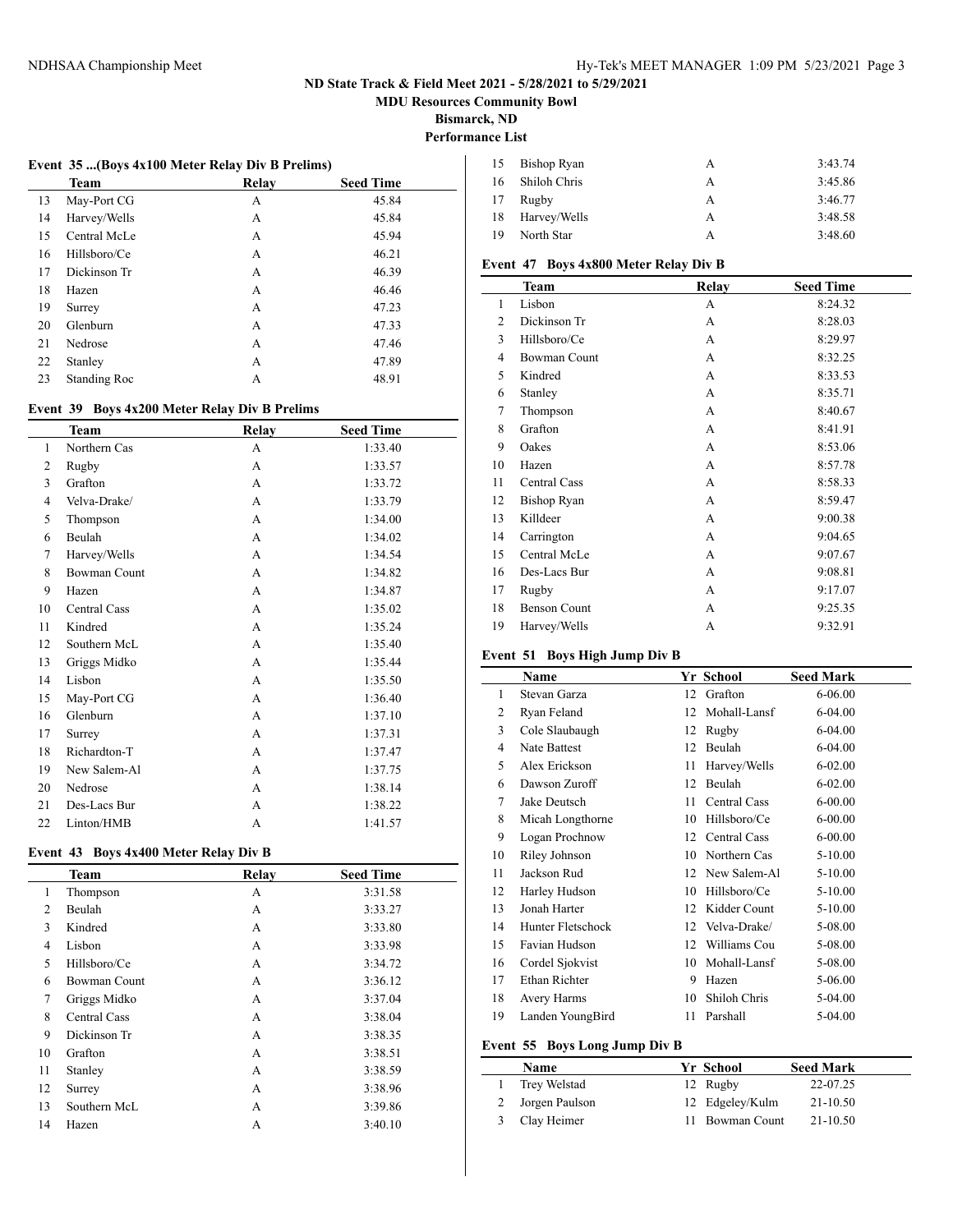**MDU Resources Community Bowl**

**Bismarck, ND**

## **Performance List**

#### **Event 35 ...(Boys 4x100 Meter Relay Div B Prelims)**

|    | <b>Team</b>  | Relay | <b>Seed Time</b> |  |
|----|--------------|-------|------------------|--|
| 13 | May-Port CG  | А     | 45.84            |  |
| 14 | Harvey/Wells | А     | 45.84            |  |
| 15 | Central McLe | А     | 45.94            |  |
| 16 | Hillsboro/Ce | А     | 46.21            |  |
| 17 | Dickinson Tr | А     | 46.39            |  |
| 18 | Hazen        | А     | 46.46            |  |
| 19 | Surrey       | А     | 47.23            |  |
| 20 | Glenburn     | А     | 47.33            |  |
| 21 | Nedrose      | А     | 47.46            |  |
| 22 | Stanley      | А     | 47.89            |  |
| 23 | Standing Roc | А     | 48.91            |  |
|    |              |       |                  |  |

#### **Event 39 Boys 4x200 Meter Relay Div B Prelims**

|                | <b>Team</b>         | Relay | <b>Seed Time</b> |
|----------------|---------------------|-------|------------------|
| 1              | Northern Cas        | A     | 1:33.40          |
| $\overline{c}$ | Rugby               | A     | 1:33.57          |
| 3              | Grafton             | A     | 1:33.72          |
| 4              | Velva-Drake/        | A     | 1:33.79          |
| 5              | Thompson            | A     | 1:34.00          |
| 6              | Beulah              | A     | 1:34.02          |
| 7              | Harvey/Wells        | A     | 1:34.54          |
| 8              | <b>Bowman Count</b> | A     | 1:34.82          |
| 9              | Hazen               | A     | 1:34.87          |
| 10             | <b>Central Cass</b> | A     | 1:35.02          |
| 11             | Kindred             | A     | 1:35.24          |
| 12             | Southern McL        | A     | 1:35.40          |
| 13             | Griggs Midko        | A     | 1:35.44          |
| 14             | Lisbon              | A     | 1:35.50          |
| 15             | May-Port CG         | A     | 1:36.40          |
| 16             | Glenburn            | A     | 1:37.10          |
| 17             | Surrey              | A     | 1:37.31          |
| 18             | Richardton-T        | A     | 1:37.47          |
| 19             | New Salem-Al        | A     | 1:37.75          |
| 20             | Nedrose             | A     | 1:38.14          |
| 21             | Des-Lacs Bur        | A     | 1:38.22          |
| 22             | Linton/HMB          | А     | 1:41.57          |

#### **Event 43 Boys 4x400 Meter Relay Div B**

|                | Team                | Relay | <b>Seed Time</b> |
|----------------|---------------------|-------|------------------|
| 1              | Thompson            | А     | 3:31.58          |
| $\overline{2}$ | Beulah              | A     | 3:33.27          |
| 3              | Kindred             | А     | 3:33.80          |
| $\overline{4}$ | Lisbon              | A     | 3:33.98          |
| 5              | Hillsboro/Ce        | А     | 3:34.72          |
| 6              | <b>Bowman Count</b> | A     | 3:36.12          |
| 7              | Griggs Midko        | А     | 3:37.04          |
| 8              | Central Cass        | A     | 3:38.04          |
| 9              | Dickinson Tr        | А     | 3:38.35          |
| 10             | Grafton             | A     | 3:38.51          |
| 11             | Stanley             | А     | 3:38.59          |
| 12             | Surrey              | A     | 3:38.96          |
| 13             | Southern McL        | А     | 3:39.86          |
| 14             | Hazen               | А     | 3:40.10          |

| 15 | <b>Bishop Ryan</b> | А | 3:43.74 |
|----|--------------------|---|---------|
| 16 | Shiloh Chris       | А | 3:45.86 |
| 17 | Rugby              | А | 3:46.77 |
| 18 | Harvey/Wells       | А | 3:48.58 |
| 19 | North Star         | А | 3:48.60 |

## **Event 47 Boys 4x800 Meter Relay Div B**

| <b>Team</b>         | Relay | <b>Seed Time</b> |
|---------------------|-------|------------------|
| Lisbon              | А     | 8:24.32          |
| Dickinson Tr        | A     | 8:28.03          |
| Hillsboro/Ce        | A     | 8:29.97          |
| <b>Bowman Count</b> | A     | 8:32.25          |
| Kindred             | A     | 8:33.53          |
| Stanley             | A     | 8:35.71          |
| Thompson            | А     | 8:40.67          |
| Grafton             | A     | 8:41.91          |
| Oakes               | A     | 8:53.06          |
| Hazen               | A     | 8:57.78          |
| <b>Central Cass</b> | A     | 8:58.33          |
| <b>Bishop Ryan</b>  | A     | 8:59.47          |
| Killdeer            | А     | 9:00.38          |
| Carrington          | A     | 9:04.65          |
| Central McLe        | A     | 9:07.67          |
| Des-Lacs Bur        | A     | 9:08.81          |
| Rugby               | A     | 9:17.07          |
| <b>Benson Count</b> | A     | 9:25.35          |
| Harvey/Wells        | А     | 9:32.91          |
|                     |       |                  |

# **Event 51 Boys High Jump Div B**

|    | Name                |    | Yr School    | <b>Seed Mark</b> |
|----|---------------------|----|--------------|------------------|
| 1  | Stevan Garza        | 12 | Grafton      | 6-06.00          |
| 2  | Ryan Feland         | 12 | Mohall-Lansf | 6-04.00          |
| 3  | Cole Slaubaugh      | 12 | Rugby        | 6-04.00          |
| 4  | <b>Nate Battest</b> | 12 | Beulah       | 6-04.00          |
| 5  | Alex Erickson       | 11 | Harvey/Wells | $6 - 02.00$      |
| 6  | Dawson Zuroff       | 12 | Beulah       | $6 - 02.00$      |
| 7  | Jake Deutsch        | 11 | Central Cass | $6 - 00.00$      |
| 8  | Micah Longthorne    | 10 | Hillsboro/Ce | $6 - 00.00$      |
| 9  | Logan Prochnow      | 12 | Central Cass | $6 - 00.00$      |
| 10 | Riley Johnson       | 10 | Northern Cas | 5-10.00          |
| 11 | Jackson Rud         | 12 | New Salem-Al | 5-10.00          |
| 12 | Harley Hudson       | 10 | Hillsboro/Ce | 5-10.00          |
| 13 | Jonah Harter        | 12 | Kidder Count | 5-10.00          |
| 14 | Hunter Fletschock   | 12 | Velva-Drake/ | 5-08.00          |
| 15 | Favian Hudson       | 12 | Williams Cou | 5-08.00          |
| 16 | Cordel Sjokvist     | 10 | Mohall-Lansf | 5-08.00          |
| 17 | Ethan Richter       | 9  | Hazen        | 5-06.00          |
| 18 | Avery Harms         | 10 | Shiloh Chris | 5-04.00          |
| 19 | Landen YoungBird    | 11 | Parshall     | 5-04.00          |

#### **Event 55 Boys Long Jump Div B**

| Name             | Yr School       | <b>Seed Mark</b> |
|------------------|-----------------|------------------|
| Trey Welstad     | 12 Rugby        | 22-07.25         |
| 2 Jorgen Paulson | 12 Edgeley/Kulm | 21-10.50         |
| 3 Clay Heimer    | 11 Bowman Count | $21 - 10.50$     |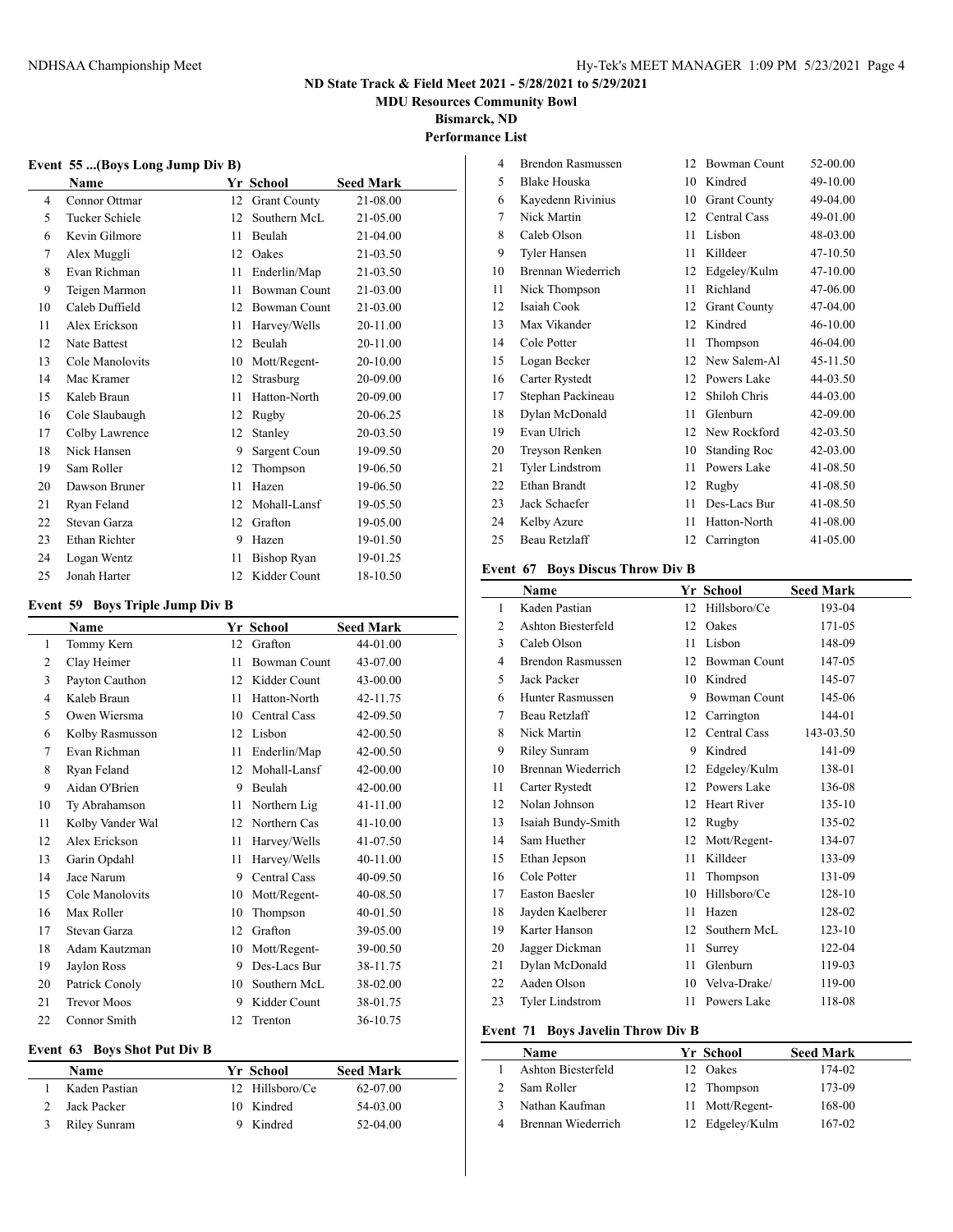**MDU Resources Community Bowl**

**Bismarck, ND**

**Performance List**

|              | Event 55 (Boys Long Jump Div B) |     |                     |                  |  |  |
|--------------|---------------------------------|-----|---------------------|------------------|--|--|
|              | <b>Name</b>                     |     | Yr School           | <b>Seed Mark</b> |  |  |
| 4            | Connor Ottmar                   |     | 12 Grant County     | 21-08.00         |  |  |
| 5            | Tucker Schiele                  |     | 12 Southern McL     | 21-05.00         |  |  |
| 6            | Kevin Gilmore                   | 11. | Beulah              | $21 - 04.00$     |  |  |
| 7            | Alex Muggli                     |     | 12 Oakes            | 21-03.50         |  |  |
| 8            | Evan Richman                    | 11. | Enderlin/Map        | 21-03.50         |  |  |
| 9            | Teigen Marmon                   | 11  | <b>Bowman Count</b> | $21 - 03.00$     |  |  |
| 10           | Caleb Duffield                  |     | 12 Bowman Count     | 21-03.00         |  |  |
| 11           | Alex Erickson                   | 11  | Harvey/Wells        | 20-11.00         |  |  |
| $12^{\circ}$ | Nate Battest                    |     | 12 Beulah           | 20-11.00         |  |  |

| 10 | Caleb Duffield  | 12 | Bowman Count | 21-03.00 |
|----|-----------------|----|--------------|----------|
| 11 | Alex Erickson   | 11 | Harvey/Wells | 20-11.00 |
| 12 | Nate Battest    | 12 | Beulah       | 20-11.00 |
| 13 | Cole Manolovits | 10 | Mott/Regent- | 20-10.00 |
| 14 | Mac Kramer      | 12 | Strasburg    | 20-09.00 |
| 15 | Kaleb Braun     | 11 | Hatton-North | 20-09.00 |
| 16 | Cole Slaubaugh  | 12 | Rugby        | 20-06.25 |
| 17 | Colby Lawrence  | 12 | Stanley      | 20-03.50 |
| 18 | Nick Hansen     | 9  | Sargent Coun | 19-09.50 |
| 19 | Sam Roller      | 12 | Thompson     | 19-06.50 |
| 20 | Dawson Bruner   | 11 | Hazen        | 19-06.50 |
| 21 | Ryan Feland     | 12 | Mohall-Lansf | 19-05.50 |
| 22 | Stevan Garza    | 12 | Grafton      | 19-05.00 |
| 23 | Ethan Richter   | 9  | Hazen        | 19-01.50 |
| 24 | Logan Wentz     | 11 | Bishop Ryan  | 19-01.25 |
| 25 | Jonah Harter    | 12 | Kidder Count | 18-10.50 |

#### **Event 59 Boys Triple Jump Div B**

|    | <b>Name</b>        |    | Yr School           | <b>Seed Mark</b> |  |
|----|--------------------|----|---------------------|------------------|--|
| 1  | Tommy Kern         | 12 | Grafton             | 44-01.00         |  |
| 2  | Clay Heimer        | 11 | <b>Bowman Count</b> | 43-07.00         |  |
| 3  | Payton Cauthon     | 12 | Kidder Count        | 43-00.00         |  |
| 4  | Kaleb Braun        | 11 | Hatton-North        | 42-11.75         |  |
| 5  | Owen Wiersma       | 10 | Central Cass        | 42-09.50         |  |
| 6  | Kolby Rasmusson    | 12 | Lisbon              | 42-00.50         |  |
| 7  | Evan Richman       | 11 | Enderlin/Map        | 42-00.50         |  |
| 8  | Ryan Feland        | 12 | Mohall-Lansf        | 42-00.00         |  |
| 9  | Aidan O'Brien      | 9  | Beulah              | 42-00.00         |  |
| 10 | Ty Abrahamson      | 11 | Northern Lig        | 41-11.00         |  |
| 11 | Kolby Vander Wal   | 12 | Northern Cas        | $41 - 10.00$     |  |
| 12 | Alex Erickson      | 11 | Harvey/Wells        | 41-07.50         |  |
| 13 | Garin Opdahl       | 11 | Harvey/Wells        | 40-11.00         |  |
| 14 | Jace Narum         | 9  | Central Cass        | 40-09.50         |  |
| 15 | Cole Manolovits    | 10 | Mott/Regent-        | 40-08.50         |  |
| 16 | Max Roller         | 10 | Thompson            | $40 - 01.50$     |  |
| 17 | Stevan Garza       | 12 | Grafton             | 39-05.00         |  |
| 18 | Adam Kautzman      | 10 | Mott/Regent-        | 39-00.50         |  |
| 19 | Jaylon Ross        | 9  | Des-Lacs Bur        | 38-11.75         |  |
| 20 | Patrick Conoly     | 10 | Southern McL        | 38-02.00         |  |
| 21 | <b>Trevor Moos</b> | 9  | Kidder Count        | 38-01.75         |  |
| 22 | Connor Smith       | 12 | Trenton             | 36-10.75         |  |

#### **Event 63 Boys Shot Put Div B**

| <b>Name</b>   | Yr School       | <b>Seed Mark</b> |  |
|---------------|-----------------|------------------|--|
| Kaden Pastian | 12 Hillsboro/Ce | 62-07.00         |  |
| Jack Packer   | 10 Kindred      | 54-03.00         |  |
| Riley Sunram  | 9 Kindred       | $52-04.00$       |  |

| 4  | Brendon Rasmussen   | 12 | <b>Bowman Count</b> | 52-00.00 |
|----|---------------------|----|---------------------|----------|
| 5  | <b>Blake Houska</b> | 10 | Kindred             | 49-10.00 |
| 6  | Kayedenn Rivinius   | 10 | <b>Grant County</b> | 49-04.00 |
| 7  | Nick Martin         | 12 | <b>Central Cass</b> | 49-01.00 |
| 8  | Caleb Olson         | 11 | Lisbon              | 48-03.00 |
| 9  | Tyler Hansen        | 11 | Killdeer            | 47-10.50 |
| 10 | Brennan Wiederrich  | 12 | Edgeley/Kulm        | 47-10.00 |
| 11 | Nick Thompson       | 11 | Richland            | 47-06.00 |
| 12 | Isaiah Cook         | 12 | <b>Grant County</b> | 47-04.00 |
| 13 | Max Vikander        | 12 | Kindred             | 46-10.00 |
| 14 | Cole Potter         | 11 | Thompson            | 46-04.00 |
| 15 | Logan Becker        | 12 | New Salem-Al        | 45-11.50 |
| 16 | Carter Rystedt      | 12 | Powers Lake         | 44-03.50 |
| 17 | Stephan Packineau   | 12 | Shiloh Chris        | 44-03.00 |
| 18 | Dylan McDonald      | 11 | Glenburn            | 42-09.00 |
| 19 | Evan Ulrich         | 12 | New Rockford        | 42-03.50 |
| 20 | Treyson Renken      | 10 | <b>Standing Roc</b> | 42-03.00 |
| 21 | Tyler Lindstrom     | 11 | Powers Lake         | 41-08.50 |
| 22 | Ethan Brandt        | 12 | Rugby               | 41-08.50 |
| 23 | Jack Schaefer       | 11 | Des-Lacs Bur        | 41-08.50 |
| 24 | Kelby Azure         | 11 | Hatton-North        | 41-08.00 |
| 25 | Beau Retzlaff       | 12 | Carrington          | 41-05.00 |
|    |                     |    |                     |          |

#### **Event 67 Boys Discus Throw Div B**

|    | <b>Name</b>               |    | Yr School           | <b>Seed Mark</b> |
|----|---------------------------|----|---------------------|------------------|
| 1  | Kaden Pastian             | 12 | Hillsboro/Ce        | 193-04           |
| 2  | <b>Ashton Biesterfeld</b> | 12 | Oakes               | 171-05           |
| 3  | Caleb Olson               | 11 | Lisbon              | 148-09           |
| 4  | <b>Brendon Rasmussen</b>  | 12 | <b>Bowman Count</b> | 147-05           |
| 5  | Jack Packer               | 10 | Kindred             | 145-07           |
| 6  | Hunter Rasmussen          | 9  | <b>Bowman Count</b> | 145-06           |
| 7  | Beau Retzlaff             | 12 | Carrington          | 144-01           |
| 8  | Nick Martin               | 12 | Central Cass        | 143-03.50        |
| 9  | <b>Riley Sunram</b>       | 9  | Kindred             | 141-09           |
| 10 | Brennan Wiederrich        | 12 | Edgeley/Kulm        | 138-01           |
| 11 | Carter Rystedt            | 12 | Powers Lake         | 136-08           |
| 12 | Nolan Johnson             | 12 | <b>Heart River</b>  | 135-10           |
| 13 | Isaiah Bundy-Smith        | 12 | Rugby               | 135-02           |
| 14 | Sam Huether               | 12 | Mott/Regent-        | 134-07           |
| 15 | Ethan Jepson              | 11 | Killdeer            | 133-09           |
| 16 | Cole Potter               | 11 | Thompson            | 131-09           |
| 17 | <b>Easton Baesler</b>     | 10 | Hillsboro/Ce        | 128-10           |
| 18 | Jayden Kaelberer          | 11 | Hazen               | 128-02           |
| 19 | Karter Hanson             | 12 | Southern McL        | $123 - 10$       |
| 20 | Jagger Dickman            | 11 | Surrey              | 122-04           |
| 21 | Dylan McDonald            | 11 | Glenburn            | 119-03           |
| 22 | Aaden Olson               | 10 | Velva-Drake/        | 119-00           |
| 23 | <b>Tyler Lindstrom</b>    | 11 | Powers Lake         | 118-08           |

#### **Event 71 Boys Javelin Throw Div B**

| Name               | Yr School       | <b>Seed Mark</b> |
|--------------------|-----------------|------------------|
| Ashton Biesterfeld | Oakes           | 174-02           |
| Sam Roller         | 12 Thompson     | 173-09           |
| Nathan Kaufman     | 11 Mott/Regent- | 168-00           |
| Brennan Wiederrich | 12 Edgeley/Kulm | 167-02           |